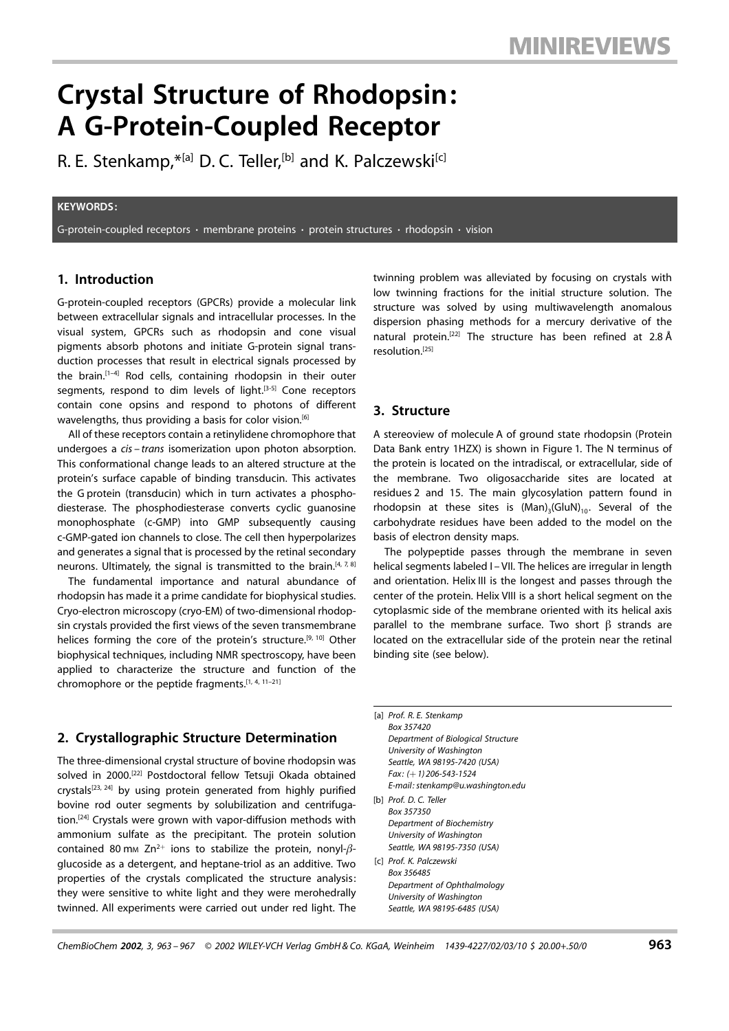# Crystal Structure of Rhodopsin: A G-Protein-Coupled Receptor

R. E. Stenkamp,\*[a] D. C. Teller,<sup>[b]</sup> and K. Palczewski<sup>[c]</sup>

### KEYWORDS:

G-protein-coupled receptors  $\cdot$  membrane proteins  $\cdot$  protein structures  $\cdot$  rhodopsin  $\cdot$  vision

### 1. Introduction

G-protein-coupled receptors (GPCRs) provide a molecular link between extracellular signals and intracellular processes. In the visual system, GPCRs such as rhodopsin and cone visual pigments absorb photons and initiate G-protein signal transduction processes that result in electrical signals processed by the brain.[1±4] Rod cells, containing rhodopsin in their outer segments, respond to dim levels of light.<sup>[3-5]</sup> Cone receptors contain cone opsins and respond to photons of different wavelengths, thus providing a basis for color vision.<sup>[6]</sup>

All of these receptors contain a retinylidene chromophore that undergoes a cis-trans isomerization upon photon absorption. This conformational change leads to an altered structure at the protein's surface capable of binding transducin. This activates the G protein (transducin) which in turn activates a phosphodiesterase. The phosphodiesterase converts cyclic guanosine monophosphate (c-GMP) into GMP subsequently causing c-GMP-gated ion channels to close. The cell then hyperpolarizes and generates a signal that is processed by the retinal secondary neurons. Ultimately, the signal is transmitted to the brain.<sup>[4, 7, 8]</sup>

The fundamental importance and natural abundance of rhodopsin has made it a prime candidate for biophysical studies. Cryo-electron microscopy (cryo-EM) of two-dimensional rhodopsin crystals provided the first views of the seven transmembrane helices forming the core of the protein's structure.<sup>[9, 10]</sup> Other biophysical techniques, including NMR spectroscopy, have been applied to characterize the structure and function of the chromophore or the peptide fragments.<sup>[1, 4, 11-21]</sup>

### 2. Crystallographic Structure Determination

The three-dimensional crystal structure of bovine rhodopsin was solved in 2000.[22] Postdoctoral fellow Tetsuji Okada obtained crystals<sup>[23, 24]</sup> by using protein generated from highly purified bovine rod outer segments by solubilization and centrifugation.[24] Crystals were grown with vapor-diffusion methods with ammonium sulfate as the precipitant. The protein solution contained 80 mm  $Zn^{2+}$  ions to stabilize the protein, nonyl- $\beta$ glucoside as a detergent, and heptane-triol as an additive. Two properties of the crystals complicated the structure analysis: they were sensitive to white light and they were merohedrally twinned. All experiments were carried out under red light. The twinning problem was alleviated by focusing on crystals with low twinning fractions for the initial structure solution. The structure was solved by using multiwavelength anomalous dispersion phasing methods for a mercury derivative of the natural protein.<sup>[22]</sup> The structure has been refined at  $2.8 \text{ Å}$ resolution.[25]

#### 3. Structure

A stereoview of molecule A of ground state rhodopsin (Protein Data Bank entry 1HZX) is shown in Figure 1. The N terminus of the protein is located on the intradiscal, or extracellular, side of the membrane. Two oligosaccharide sites are located at residues 2 and 15. The main glycosylation pattern found in rhodopsin at these sites is  $(Man)_{3}$ (GluN)<sub>10</sub>. Several of the carbohydrate residues have been added to the model on the basis of electron density maps.

The polypeptide passes through the membrane in seven helical segments labeled I - VII. The helices are irregular in length and orientation. Helix III is the longest and passes through the center of the protein. Helix VIII is a short helical segment on the cytoplasmic side of the membrane oriented with its helical axis parallel to the membrane surface. Two short  $\beta$  strands are located on the extracellular side of the protein near the retinal binding site (see below).

[a] Prof. R. E. Stenkamp Box 357420 Department of Biological Structure University of Washington Seattle, WA 98195-7420 (USA)  $Fax: (+ 1)$  206-543-1524 E-mail: stenkamp@u.washington.edu [b] Prof. D. C. Teller Box 357350 Department of Biochemistry University of Washington Seattle, WA 98195-7350 (USA) [c] Prof. K. Palczewski Box 356485 Department of Ophthalmology University of Washington

Seattle, WA 98195-6485 (USA)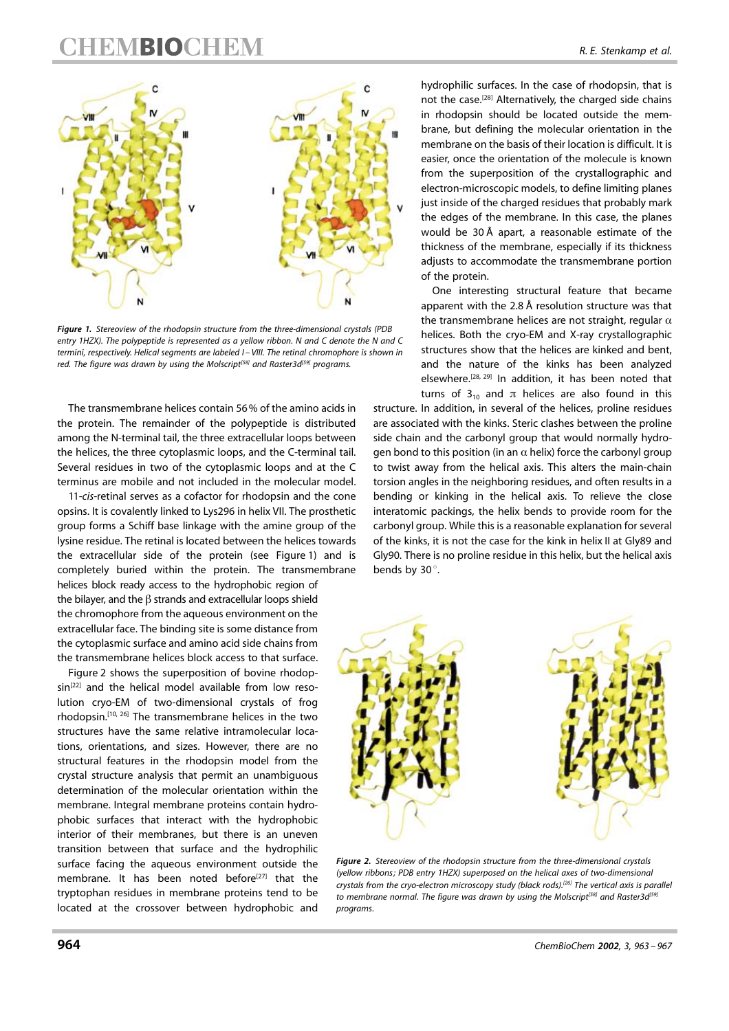# **TEMBIOCHEM**



Figure 1. Stereoview of the rhodopsin structure from the three-dimensional crystals (PDB entry 1HZX). The polypeptide is represented as a yellow ribbon. N and C denote the N and C termini, respectively. Helical segments are labeled I-VIII. The retinal chromophore is shown in red. The figure was drawn by using the Molscript<sup>[58]</sup> and Raster3d<sup>[59]</sup> programs.

The transmembrane helices contain 56% of the amino acids in the protein. The remainder of the polypeptide is distributed among the N-terminal tail, the three extracellular loops between the helices, the three cytoplasmic loops, and the C-terminal tail. Several residues in two of the cytoplasmic loops and at the C terminus are mobile and not included in the molecular model.

11-cis-retinal serves as a cofactor for rhodopsin and the cone opsins. It is covalently linked to Lys296 in helix VII. The prosthetic group forms a Schiff base linkage with the amine group of the lysine residue. The retinal is located between the helices towards the extracellular side of the protein (see Figure 1) and is completely buried within the protein. The transmembrane

helices block ready access to the hydrophobic region of the bilayer, and the  $\beta$  strands and extracellular loops shield the chromophore from the aqueous environment on the extracellular face. The binding site is some distance from the cytoplasmic surface and amino acid side chains from the transmembrane helices block access to that surface.

Figure 2 shows the superposition of bovine rhodopsin<sup>[22]</sup> and the helical model available from low resolution cryo-EM of two-dimensional crystals of frog rhodopsin.[10, 26] The transmembrane helices in the two structures have the same relative intramolecular locations, orientations, and sizes. However, there are no structural features in the rhodopsin model from the crystal structure analysis that permit an unambiguous determination of the molecular orientation within the membrane. Integral membrane proteins contain hydrophobic surfaces that interact with the hydrophobic interior of their membranes, but there is an uneven transition between that surface and the hydrophilic surface facing the aqueous environment outside the membrane. It has been noted before<sup>[27]</sup> that the tryptophan residues in membrane proteins tend to be located at the crossover between hydrophobic and

hydrophilic surfaces. In the case of rhodopsin, that is not the case.[28] Alternatively, the charged side chains in rhodopsin should be located outside the membrane, but defining the molecular orientation in the membrane on the basis of their location is difficult. It is easier, once the orientation of the molecule is known from the superposition of the crystallographic and electron-microscopic models, to define limiting planes just inside of the charged residues that probably mark the edges of the membrane. In this case, the planes would be 30 ä apart, a reasonable estimate of the thickness of the membrane, especially if its thickness adjusts to accommodate the transmembrane portion of the protein.

One interesting structural feature that became apparent with the 2.8 Å resolution structure was that the transmembrane helices are not straight, regular  $\alpha$ helices. Both the cryo-EM and X-ray crystallographic structures show that the helices are kinked and bent, and the nature of the kinks has been analyzed elsewhere.[28, 29] In addition, it has been noted that turns of 3<sub>10</sub> and  $\pi$  helices are also found in this

structure. In addition, in several of the helices, proline residues are associated with the kinks. Steric clashes between the proline side chain and the carbonyl group that would normally hydrogen bond to this position (in an  $\alpha$  helix) force the carbonyl group to twist away from the helical axis. This alters the main-chain torsion angles in the neighboring residues, and often results in a bending or kinking in the helical axis. To relieve the close interatomic packings, the helix bends to provide room for the carbonyl group. While this is a reasonable explanation for several of the kinks, it is not the case for the kink in helix II at Gly89 and Gly90. There is no proline residue in this helix, but the helical axis bends by 30°.



Figure 2. Stereoview of the rhodopsin structure from the three-dimensional crystals (yellow ribbons; PDB entry 1HZX) superposed on the helical axes of two-dimensional crystals from the cryo-electron microscopy study (black rods).<sup>[26]</sup> The vertical axis is parallel to membrane normal. The figure was drawn by using the Molscript<sup>[58]</sup> and Raster3d<sup>[59]</sup> programs.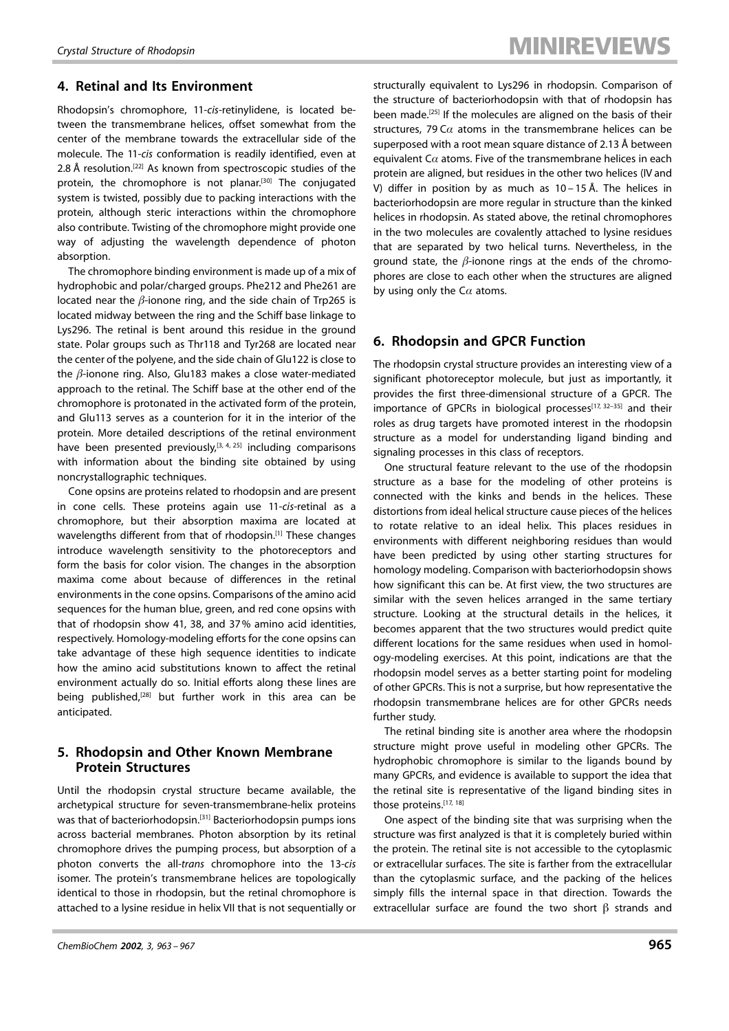### 4. Retinal and Its Environment

Rhodopsin's chromophore, 11-cis-retinylidene, is located between the transmembrane helices, offset somewhat from the center of the membrane towards the extracellular side of the molecule. The 11-cis conformation is readily identified, even at 2.8 ä resolution.[22] As known from spectroscopic studies of the protein, the chromophore is not planar.<sup>[30]</sup> The conjugated system is twisted, possibly due to packing interactions with the protein, although steric interactions within the chromophore also contribute. Twisting of the chromophore might provide one way of adjusting the wavelength dependence of photon absorption.

The chromophore binding environment is made up of a mix of hydrophobic and polar/charged groups. Phe212 and Phe261 are located near the  $\beta$ -ionone ring, and the side chain of Trp265 is located midway between the ring and the Schiff base linkage to Lys296. The retinal is bent around this residue in the ground state. Polar groups such as Thr118 and Tyr268 are located near the center of the polyene, and the side chain of Glu122 is close to the  $\beta$ -ionone ring. Also, Glu183 makes a close water-mediated approach to the retinal. The Schiff base at the other end of the chromophore is protonated in the activated form of the protein, and Glu113 serves as a counterion for it in the interior of the protein. More detailed descriptions of the retinal environment have been presented previously,<sup>[3, 4, 25]</sup> including comparisons with information about the binding site obtained by using noncrystallographic techniques.

Cone opsins are proteins related to rhodopsin and are present in cone cells. These proteins again use 11-cis-retinal as a chromophore, but their absorption maxima are located at wavelengths different from that of rhodopsin.<sup>[1]</sup> These changes introduce wavelength sensitivity to the photoreceptors and form the basis for color vision. The changes in the absorption maxima come about because of differences in the retinal environments in the cone opsins. Comparisons of the amino acid sequences for the human blue, green, and red cone opsins with that of rhodopsin show 41, 38, and 37% amino acid identities, respectively. Homology-modeling efforts for the cone opsins can take advantage of these high sequence identities to indicate how the amino acid substitutions known to affect the retinal environment actually do so. Initial efforts along these lines are being published,<sup>[28]</sup> but further work in this area can be anticipated.

#### 5. Rhodopsin and Other Known Membrane Protein Structures

Until the rhodopsin crystal structure became available, the archetypical structure for seven-transmembrane-helix proteins was that of bacteriorhodopsin.[31] Bacteriorhodopsin pumps ions across bacterial membranes. Photon absorption by its retinal chromophore drives the pumping process, but absorption of a photon converts the all-trans chromophore into the 13-cis isomer. The protein's transmembrane helices are topologically identical to those in rhodopsin, but the retinal chromophore is attached to a lysine residue in helix VII that is not sequentially or structurally equivalent to Lys296 in rhodopsin. Comparison of the structure of bacteriorhodopsin with that of rhodopsin has been made.[25] If the molecules are aligned on the basis of their structures, 79 C $\alpha$  atoms in the transmembrane helices can be superposed with a root mean square distance of 2.13 Å between equivalent C $\alpha$  atoms. Five of the transmembrane helices in each protein are aligned, but residues in the other two helices (IV and V) differ in position by as much as  $10-15$  Å. The helices in bacteriorhodopsin are more regular in structure than the kinked helices in rhodopsin. As stated above, the retinal chromophores in the two molecules are covalently attached to lysine residues that are separated by two helical turns. Nevertheless, in the ground state, the  $\beta$ -ionone rings at the ends of the chromophores are close to each other when the structures are aligned by using only the C $\alpha$  atoms.

### 6. Rhodopsin and GPCR Function

The rhodopsin crystal structure provides an interesting view of a significant photoreceptor molecule, but just as importantly, it provides the first three-dimensional structure of a GPCR. The importance of GPCRs in biological processes $[17, 32-35]$  and their roles as drug targets have promoted interest in the rhodopsin structure as a model for understanding ligand binding and signaling processes in this class of receptors.

One structural feature relevant to the use of the rhodopsin structure as a base for the modeling of other proteins is connected with the kinks and bends in the helices. These distortions from ideal helical structure cause pieces of the helices to rotate relative to an ideal helix. This places residues in environments with different neighboring residues than would have been predicted by using other starting structures for homology modeling. Comparison with bacteriorhodopsin shows how significant this can be. At first view, the two structures are similar with the seven helices arranged in the same tertiary structure. Looking at the structural details in the helices, it becomes apparent that the two structures would predict quite different locations for the same residues when used in homology-modeling exercises. At this point, indications are that the rhodopsin model serves as a better starting point for modeling of other GPCRs. This is not a surprise, but how representative the rhodopsin transmembrane helices are for other GPCRs needs further study.

The retinal binding site is another area where the rhodopsin structure might prove useful in modeling other GPCRs. The hydrophobic chromophore is similar to the ligands bound by many GPCRs, and evidence is available to support the idea that the retinal site is representative of the ligand binding sites in those proteins.[17, 18]

One aspect of the binding site that was surprising when the structure was first analyzed is that it is completely buried within the protein. The retinal site is not accessible to the cytoplasmic or extracellular surfaces. The site is farther from the extracellular than the cytoplasmic surface, and the packing of the helices simply fills the internal space in that direction. Towards the extracellular surface are found the two short  $\beta$  strands and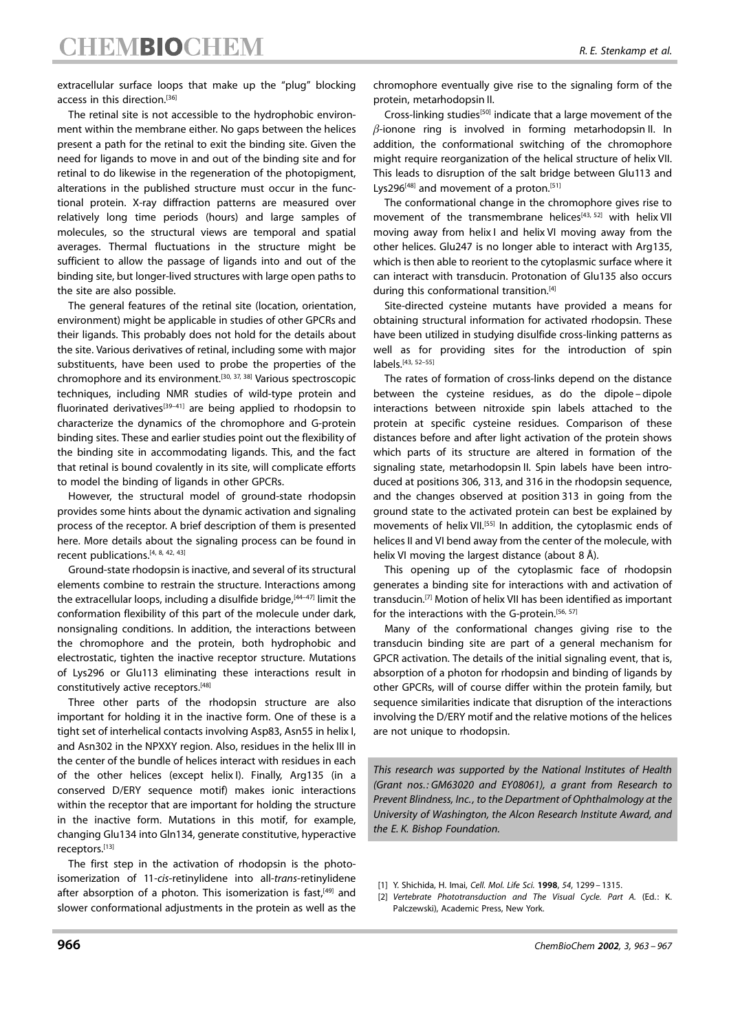extracellular surface loops that make up the "plug" blocking access in this direction.<sup>[36]</sup>

The retinal site is not accessible to the hydrophobic environment within the membrane either. No gaps between the helices present a path for the retinal to exit the binding site. Given the need for ligands to move in and out of the binding site and for retinal to do likewise in the regeneration of the photopigment, alterations in the published structure must occur in the functional protein. X-ray diffraction patterns are measured over relatively long time periods (hours) and large samples of molecules, so the structural views are temporal and spatial averages. Thermal fluctuations in the structure might be sufficient to allow the passage of ligands into and out of the binding site, but longer-lived structures with large open paths to the site are also possible.

The general features of the retinal site (location, orientation, environment) might be applicable in studies of other GPCRs and their ligands. This probably does not hold for the details about the site. Various derivatives of retinal, including some with major substituents, have been used to probe the properties of the chromophore and its environment.<sup>[30, 37, 38]</sup> Various spectroscopic techniques, including NMR studies of wild-type protein and fluorinated derivatives<sup>[39-41]</sup> are being applied to rhodopsin to characterize the dynamics of the chromophore and G-protein binding sites. These and earlier studies point out the flexibility of the binding site in accommodating ligands. This, and the fact that retinal is bound covalently in its site, will complicate efforts to model the binding of ligands in other GPCRs.

However, the structural model of ground-state rhodopsin provides some hints about the dynamic activation and signaling process of the receptor. A brief description of them is presented here. More details about the signaling process can be found in recent publications.<sup>[4, 8, 42, 43]</sup>

Ground-state rhodopsin is inactive, and several of its structural elements combine to restrain the structure. Interactions among the extracellular loops, including a disulfide bridge, $[44-47]$  limit the conformation flexibility of this part of the molecule under dark, nonsignaling conditions. In addition, the interactions between the chromophore and the protein, both hydrophobic and electrostatic, tighten the inactive receptor structure. Mutations of Lys296 or Glu113 eliminating these interactions result in constitutively active receptors.[48]

Three other parts of the rhodopsin structure are also important for holding it in the inactive form. One of these is a tight set of interhelical contacts involving Asp83, Asn55 in helix I, and Asn302 in the NPXXY region. Also, residues in the helix III in the center of the bundle of helices interact with residues in each of the other helices (except helix I). Finally, Arg135 (in a conserved D/ERY sequence motif) makes ionic interactions within the receptor that are important for holding the structure in the inactive form. Mutations in this motif, for example, changing Glu134 into Gln134, generate constitutive, hyperactive receptors.[13]

The first step in the activation of rhodopsin is the photoisomerization of 11-cis-retinylidene into all-trans-retinylidene after absorption of a photon. This isomerization is fast, $[49]$  and slower conformational adjustments in the protein as well as the chromophore eventually give rise to the signaling form of the protein, metarhodopsin II.

Cross-linking studies<sup>[50]</sup> indicate that a large movement of the  $\beta$ -ionone ring is involved in forming metarhodopsin II. In addition, the conformational switching of the chromophore might require reorganization of the helical structure of helix VII. This leads to disruption of the salt bridge between Glu113 and Lys296<sup>[48]</sup> and movement of a proton.<sup>[51]</sup>

The conformational change in the chromophore gives rise to movement of the transmembrane helices<sup>[43, 52]</sup> with helix VII moving away from helix I and helix VI moving away from the other helices. Glu247 is no longer able to interact with Arg135, which is then able to reorient to the cytoplasmic surface where it can interact with transducin. Protonation of Glu135 also occurs during this conformational transition.<sup>[4]</sup>

Site-directed cysteine mutants have provided a means for obtaining structural information for activated rhodopsin. These have been utilized in studying disulfide cross-linking patterns as well as for providing sites for the introduction of spin labels. $[43, 52-55]$ 

The rates of formation of cross-links depend on the distance between the cysteine residues, as do the dipole-dipole interactions between nitroxide spin labels attached to the protein at specific cysteine residues. Comparison of these distances before and after light activation of the protein shows which parts of its structure are altered in formation of the signaling state, metarhodopsin II. Spin labels have been introduced at positions 306, 313, and 316 in the rhodopsin sequence, and the changes observed at position 313 in going from the ground state to the activated protein can best be explained by movements of helix VII.<sup>[55]</sup> In addition, the cytoplasmic ends of helices II and VI bend away from the center of the molecule, with helix VI moving the largest distance (about  $8 \text{ Å}$ ).

This opening up of the cytoplasmic face of rhodopsin generates a binding site for interactions with and activation of transducin.[7] Motion of helix VII has been identified as important for the interactions with the G-protein.<sup>[56, 57]</sup>

Many of the conformational changes giving rise to the transducin binding site are part of a general mechanism for GPCR activation. The details of the initial signaling event, that is, absorption of a photon for rhodopsin and binding of ligands by other GPCRs, will of course differ within the protein family, but sequence similarities indicate that disruption of the interactions involving the D/ERY motif and the relative motions of the helices are not unique to rhodopsin.

This research was supported by the National Institutes of Health (Grant nos.: GM63020 and EY08061), a grant from Research to Prevent Blindness, Inc., to the Department of Ophthalmology at the University of Washington, the Alcon Research Institute Award, and the E.K. Bishop Foundation.

- [1] Y. Shichida, H. Imai, Cell. Mol. Life Sci. 1998, 54, 1299 1315.
- [2] Vertebrate Phototransduction and The Visual Cycle. Part A. (Ed.: K. Palczewski), Academic Press, New York.